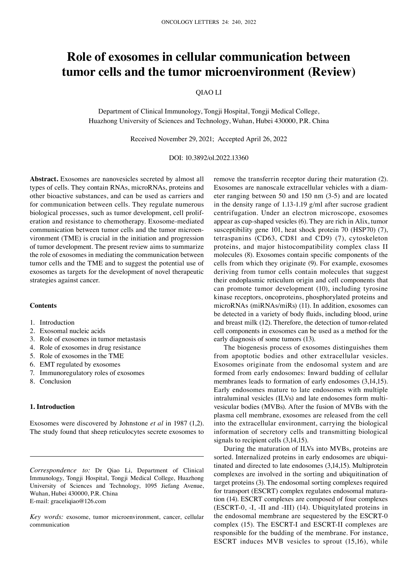# **Role of exosomes in cellular communication between tumor cells and the tumor microenvironment (Review)**

# QIAO LI

Department of Clinical Immunology, Tongji Hospital, Tongji Medical College, Huazhong University of Sciences and Technology, Wuhan, Hubei 430000, P.R. China

Received November 29, 2021; Accepted April 26, 2022

## DOI: 10.3892/ol.2022.13360

**Abstract.** Exosomes are nanovesicles secreted by almost all types of cells. They contain RNAs, microRNAs, proteins and other bioactive substances, and can be used as carriers and for communication between cells. They regulate numerous biological processes, such as tumor development, cell proliferation and resistance to chemotherapy. Exosome‑mediated communication between tumor cells and the tumor microenvironment (TME) is crucial in the initiation and progression of tumor development. The present review aims to summarize the role of exosomes in mediating the communication between tumor cells and the TME and to suggest the potential use of exosomes as targets for the development of novel therapeutic strategies against cancer.

#### **Contents**

- 1. Introduction
- 2. Exosomal nucleic acids
- 3. Role of exosomes in tumor metastasis
- 4. Role of exosomes in drug resistance
- 5. Role of exosomes in the TME
- 6. EMT regulated by exosomes
- 7. Immunoregulatory roles of exosomes
- 8. Conclusion

## **1. Introduction**

Exosomes were discovered by Johnstone *et al* in 1987 (1,2). The study found that sheep reticulocytes secrete exosomes to

*Correspondence to:* Dr Qiao Li, Department of Clinical Immunology, Tongji Hospital, Tongji Medical College, Huazhong University of Sciences and Technology, 1095 Jiefang Avenue, Wuhan, Hubei 430000, P.R. China E‑mail: graceliqiao@126.com

*Key words:* exosome, tumor microenvironment, cancer, cellular communication

remove the transferrin receptor during their maturation (2). Exosomes are nanoscale extracellular vehicles with a diameter ranging between 50 and 150 nm (3‑5) and are located in the density range of  $1.13$ -1.19 g/ml after sucrose gradient centrifugation. Under an electron microscope, exosomes appear as cup‑shaped vesicles (6). They are rich in Alix, tumor susceptibility gene 101, heat shock protein 70 (HSP70) (7), tetraspanins (CD63, CD81 and CD9) (7), cytoskeleton proteins, and major histocompatibility complex class II molecules (8). Exosomes contain specific components of the cells from which they originate (9). For example, exosomes deriving from tumor cells contain molecules that suggest their endoplasmic reticulum origin and cell components that can promote tumor development (10), including tyrosine kinase receptors, oncoproteins, phosphorylated proteins and microRNAs (miRNAs/miRs) (11). In addition, exosomes can be detected in a variety of body fluids, including blood, urine and breast milk (12). Therefore, the detection of tumor-related cell components in exosomes can be used as a method for the early diagnosis of some tumors (13).

The biogenesis process of exosomes distinguishes them from apoptotic bodies and other extracellular vesicles. Exosomes originate from the endosomal system and are formed from early endosomes: Inward budding of cellular membranes leads to formation of early endosomes (3,14,15). Early endosomes mature to late endosomes with multiple intraluminal vesicles (ILVs) and late endosomes form multivesicular bodies (MVBs). After the fusion of MVBs with the plasma cell membrane, exosomes are released from the cell into the extracellular environment, carrying the biological information of secretory cells and transmitting biological signals to recipient cells (3,14,15).

During the maturation of ILVs into MVBs, proteins are sorted. Internalized proteins in early endosomes are ubiquitinated and directed to late endosomes (3,14,15). Multiprotein complexes are involved in the sorting and ubiquitination of target proteins (3). The endosomal sorting complexes required for transport (ESCRT) complex regulates endosomal maturation (14). ESCRT complexes are composed of four complexes (ESCRT‑0, ‑I, ‑II and ‑III) (14). Ubiquitylated proteins in the endosomal membrane are sequestered by the ESCRT-0 complex (15). The ESCRT‑I and ESCRT‑II complexes are responsible for the budding of the membrane. For instance, ESCRT induces MVB vesicles to sprout (15,16), while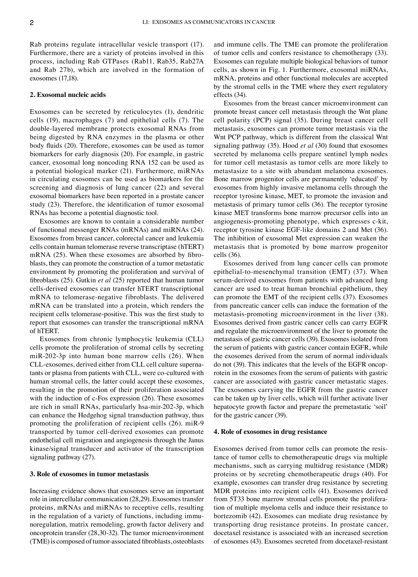Rab proteins regulate intracellular vesicle transport (17). Furthermore, there are a variety of proteins involved in this process, including Rab GTPases (Rab11, Rab35, Rab27A and Rab 27b), which are involved in the formation of exosomes (17,18).

## **2. Exosomal nucleic acids**

Exosomes can be secreted by reticulocytes (1), dendritic cells (19), macrophages (7) and epithelial cells (7). The double‑layered membrane protects exosomal RNAs from being digested by RNA enzymes in the plasma or other body fluids (20). Therefore, exosomes can be used as tumor biomarkers for early diagnosis (20). For example, in gastric cancer, exosomal long noncoding RNA 152 can be used as a potential biological marker (21). Furthermore, miRNAs in circulating exosomes can be used as biomarkers for the screening and diagnosis of lung cancer (22) and several exosomal biomarkers have been reported in a prostate cancer study (23). Therefore, the identification of tumor exosomal RNAs has become a potential diagnostic tool.

Exosomes are known to contain a considerable number of functional messenger RNAs (mRNAs) and miRNAs (24). Exosomes from breast cancer, colorectal cancer and leukemia cells contain human telomerase reverse transcriptase (hTERT) mRNA (25). When these exosomes are absorbed by fibroblasts, they can promote the construction of a tumor metastatic environment by promoting the proliferation and survival of fibroblasts (25). Gutkin *et al* (25) reported that human tumor cells‑derived exosomes can transfer hTERT transcriptional mRNA to telomerase‑negative fibroblasts. The delivered mRNA can be translated into a protein, which renders the recipient cells telomerase‑positive. This was the first study to report that exosomes can transfer the transcriptional mRNA of hTERT.

Exosomes from chronic lymphocytic leukemia (CLL) cells promote the proliferation of stromal cells by secreting miR‑202‑3p into human bone marrow cells (26). When CLL-exosomes, derived either from CLL cell culture supernatants or plasma from patients with CLL, were co‑cultured with human stromal cells, the latter could accept these exosomes, resulting in the promotion of their proliferation associated with the induction of c-Fos expression (26). These exosomes are rich in small RNAs, particularly hsa-mir-202-3p, which can enhance the Hedgehog signal transduction pathway, thus promoting the proliferation of recipient cells (26). miR‑9 transported by tumor cell‑derived exosomes can promote endothelial cell migration and angiogenesis through the Janus kinase/signal transducer and activator of the transcription signaling pathway (27).

#### **3. Role of exosomes in tumor metastasis**

Increasing evidence shows that exosomes serve an important role in intercellular communication (28,29). Exosomes transfer proteins, mRNAs and miRNAs to receptive cells, resulting in the regulation of a variety of functions, including immunoregulation, matrix remodeling, growth factor delivery and oncoprotein transfer (28,30‑32). The tumor microenvironment (TME) is composed of tumor-associated fibroblasts, osteoblasts and immune cells. The TME can promote the proliferation of tumor cells and confers resistance to chemotherapy (33). Exosomes can regulate multiple biological behaviors of tumor cells, as shown in Fig. 1. Furthermore, exosomal miRNAs, mRNA, proteins and other functional molecules are accepted by the stromal cells in the TME where they exert regulatory effects (34).

Exosomes from the breast cancer microenvironment can promote breast cancer cell metastasis through the Wnt plane cell polarity (PCP) signal (35). During breast cancer cell metastasis, exosomes can promote tumor metastasis via the Wnt PCP pathway, which is different from the classical Wnt signaling pathway (35). Hood *et al* (30) found that exosomes secreted by melanoma cells prepare sentinel lymph nodes for tumor cell metastasis as tumor cells are more likely to metastasize to a site with abundant melanoma exosomes. Bone marrow progenitor cells are permanently 'educated' by exosomes from highly invasive melanoma cells through the receptor tyrosine kinase, MET, to promote the invasion and metastasis of primary tumor cells (36). The receptor tyrosine kinase MET transforms bone marrow precursor cells into an angiogenesis‑promoting phenotype, which expresses c‑kit, receptor tyrosine kinase EGF‑like domains 2 and Met (36). The inhibition of exosomal Met expression can weaken the metastasis that is promoted by bone marrow progenitor cells (36).

Exosomes derived from lung cancer cells can promote epithelial-to-mesenchymal transition (EMT) (37). When serum-derived exosomes from patients with advanced lung cancer are used to treat human bronchial epithelium, they can promote the EMT of the recipient cells (37). Exosomes from pancreatic cancer cells can induce the formation of the metastasis‑promoting microenvironment in the liver (38). Exosomes derived from gastric cancer cells can carry EGFR and regulate the microenvironment of the liver to promote the metastasis of gastric cancer cells (39). Exosomes isolated from the serum of patients with gastric cancer contain EGFR, while the exosomes derived from the serum of normal individuals do not (39). This indicates that the levels of the EGFR oncoprotein in the exosomes from the serum of patients with gastric cancer are associated with gastric cancer metastatic stages. The exosomes carrying the EGFR from the gastric cancer can be taken up by liver cells, which will further activate liver hepatocyte growth factor and prepare the premetastatic 'soil' for the gastric cancer (39).

#### **4. Role of exosomes in drug resistance**

Exosomes derived from tumor cells can promote the resis‑ tance of tumor cells to chemotherapeutic drugs via multiple mechanisms, such as carrying multidrug resistance (MDR) proteins or by secreting chemotherapeutic drugs (40). For example, exosomes can transfer drug resistance by secreting MDR proteins into recipient cells (41). Exosomes derived from 5T33 bone marrow stromal cells promote the proliferation of multiple myeloma cells and induce their resistance to bortezomib (42). Exosomes can mediate drug resistance by transporting drug resistance proteins. In prostate cancer, docetaxel resistance is associated with an increased secretion of exosomes (43). Exosomes secreted from docetaxel‑resistant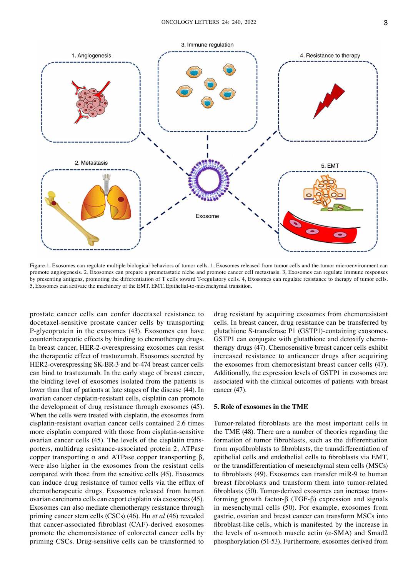

Figure 1. Exosomes can regulate multiple biological behaviors of tumor cells. 1, Exosomes released from tumor cells and the tumor microenvironment can promote angiogenesis. 2, Exosomes can prepare a premetastatic niche and promote cancer cell metastasis. 3, Exosomes can regulate immune responses by presenting antigens, promoting the differentiation of T cells toward T-regulatory cells. 4, Exosomes can regulate resistance to therapy of tumor cells. 5, Exosomes can activate the machinery of the EMT. EMT, Epithelial-to-mesenchymal transition.

prostate cancer cells can confer docetaxel resistance to docetaxel-sensitive prostate cancer cells by transporting P‑glycoprotein in the exosomes (43). Exosomes can have countertherapeutic effects by binding to chemotherapy drugs. In breast cancer, HER‑2‑overexpressing exosomes can resist the therapeutic effect of trastuzumab. Exosomes secreted by HER2-overexpressing SK-BR-3 and br-474 breast cancer cells can bind to trastuzumab. In the early stage of breast cancer, the binding level of exosomes isolated from the patients is lower than that of patients at late stages of the disease (44). In ovarian cancer cisplatin‑resistant cells, cisplatin can promote the development of drug resistance through exosomes (45). When the cells were treated with cisplatin, the exosomes from cisplatin‑resistant ovarian cancer cells contained 2.6 times more cisplatin compared with those from cisplatin-sensitive ovarian cancer cells (45). The levels of the cisplatin transporters, multidrug resistance‑associated protein 2, ATPase copper transporting  $α$  and ATPase copper transporting  $β$ , were also higher in the exosomes from the resistant cells compared with those from the sensitive cells (45). Exosomes can induce drug resistance of tumor cells via the efflux of chemotherapeutic drugs. Exosomes released from human ovarian carcinoma cells can export cisplatin via exosomes(45). Exosomes can also mediate chemotherapy resistance through priming cancer stem cells (CSCs) (46). Hu *et al* (46) revealed that cancer‑associated fibroblast (CAF)‑derived exosomes promote the chemoresistance of colorectal cancer cells by priming CSCs. Drug‑sensitive cells can be transformed to

drug resistant by acquiring exosomes from chemoresistant cells. In breast cancer, drug resistance can be transferred by glutathione S‑transferase P1 (GSTP1)‑containing exosomes. GSTP1 can conjugate with glutathione and detoxify chemotherapy drugs (47). Chemosensitive breast cancer cells exhibit increased resistance to anticancer drugs after acquiring the exosomes from chemoresistant breast cancer cells (47). Additionally, the expression levels of GSTP1 in exosomes are associated with the clinical outcomes of patients with breast cancer (47).

# **5. Role of exosomes in the TME**

Tumor-related fibroblasts are the most important cells in the TME (48). There are a number of theories regarding the formation of tumor fibroblasts, such as the differentiation from myofibroblasts to fibroblasts, the transdifferentiation of epithelial cells and endothelial cells to fibroblasts via EMT, or the transdifferentiation of mesenchymal stem cells (MSCs) to fibroblasts (49). Exosomes can transfer miR‑9 to human breast fibroblasts and transform them into tumor-related fibroblasts (50). Tumor-derived exosomes can increase transforming growth factor‑β (TGF‑β) expression and signals in mesenchymal cells (50). For example, exosomes from gastric, ovarian and breast cancer can transform MSCs into fibroblast-like cells, which is manifested by the increase in the levels of  $\alpha$ -smooth muscle actin ( $\alpha$ -SMA) and Smad2 phosphorylation (51‑53). Furthermore, exosomes derived from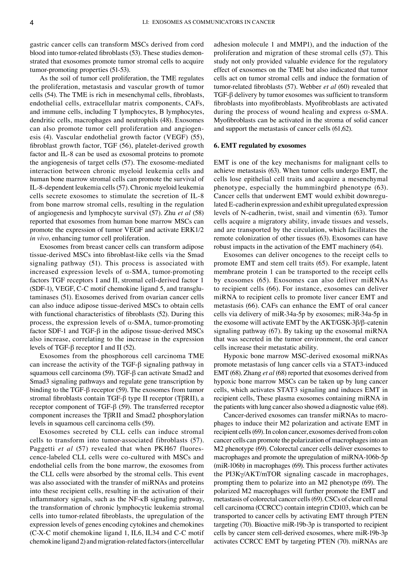gastric cancer cells can transform MSCs derived from cord blood into tumor-related fibroblasts (53). These studies demonstrated that exosomes promote tumor stromal cells to acquire tumor-promoting properties (51-53).

As the soil of tumor cell proliferation, the TME regulates the proliferation, metastasis and vascular growth of tumor cells (54). The TME is rich in mesenchymal cells, fibroblasts, endothelial cells, extracellular matrix components, CAFs, and immune cells, including T lymphocytes, B lymphocytes, dendritic cells, macrophages and neutrophils (48). Exosomes can also promote tumor cell proliferation and angiogenesis (4). Vascular endothelial growth factor (VEGF) (55), fibroblast growth factor, TGF (56), platelet‑derived growth factor and IL‑8 can be used as exosomal proteins to promote the angiogenesis of target cells (57). The exosome‑mediated interaction between chronic myeloid leukemia cells and human bone marrow stromal cells can promote the survival of IL‑8‑dependent leukemia cells(57). Chronic myeloid leukemia cells secrete exosomes to stimulate the secretion of IL‑8 from bone marrow stromal cells, resulting in the regulation of angiogenesis and lymphocyte survival (57). Zhu *et al* (58) reported that exosomes from human bone marrow MSCs can promote the expression of tumor VEGF and activate ERK1/2 *in vivo*, enhancing tumor cell proliferation.

Exosomes from breast cancer cells can transform adipose tissue-derived MSCs into fibroblast-like cells via the Smad signaling pathway (51). This process is associated with increased expression levels of  $\alpha$ -SMA, tumor-promoting factors TGF receptors I and II, stromal cell-derived factor 1 (SDF-1), VEGF, C-C motif chemokine ligand 5, and transglutaminases (51). Exosomes derived from ovarian cancer cells can also induce adipose tissue‑derived MSCs to obtain cells with functional characteristics of fibroblasts (52). During this process, the expression levels of  $\alpha$ -SMA, tumor-promoting factor SDF-1 and TGF- $\beta$  in the adipose tissue-derived MSCs also increase, correlating to the increase in the expression levels of TGF‑β receptor I and II (52).

Exosomes from the phosphorous cell carcinoma TME can increase the activity of the TGF‑β signaling pathway in squamous cell carcinoma (59). TGF‑β can activate Smad2 and Smad3 signaling pathways and regulate gene transcription by binding to the TGF‑β receptor (59). The exosomes from tumor stromal fibroblasts contain TGF‑β type II receptor (TβRII), a receptor component of TGF‑β (59). The transferred receptor component increases the TβRII and Smad2 phosphorylation levels in squamous cell carcinoma cells (59).

Exosomes secreted by CLL cells can induce stromal cells to transform into tumor-associated fibroblasts (57). Paggetti *et al* (57) revealed that when PKH67 fluorescence‑labeled CLL cells were co‑cultured with MSCs and endothelial cells from the bone marrow, the exosomes from the CLL cells were absorbed by the stromal cells. This event was also associated with the transfer of miRNAs and proteins into these recipient cells, resulting in the activation of their inflammatory signals, such as the NF‑κB signaling pathway, the transformation of chronic lymphocytic leukemia stromal cells into tumor‑related fibroblasts, the upregulation of the expression levels of genes encoding cytokines and chemokines (C‑X‑C motif chemokine ligand 1, IL6, IL34 and C‑C motif chemokine ligand 2) and migration‑related factors (intercellular adhesion molecule 1 and MMP1), and the induction of the proliferation and migration of these stromal cells (57). This study not only provided valuable evidence for the regulatory effect of exosomes on the TME but also indicated that tumor cells act on tumor stromal cells and induce the formation of tumor‑related fibroblasts (57). Webber *et al* (60) revealed that TGF‑β delivery by tumor exosomes was sufficient to transform fibroblasts into myofibroblasts. Myofibroblasts are activated during the process of wound healing and express  $\alpha$ -SMA. Myofibroblasts can be activated in the stroma of solid cancer and support the metastasis of cancer cells (61,62).

#### **6. EMT regulated by exosomes**

EMT is one of the key mechanisms for malignant cells to achieve metastasis (63). When tumor cells undergo EMT, the cells lose epithelial cell traits and acquire a mesenchymal phenotype, especially the hummingbird phenotype (63). Cancer cells that underwent EMT would exhibit downregulated E‑cadherin expression and exhibit upregulated expression levels of N‑cadherin, twist, snail and vimentin (63). Tumor cells acquire a migratory ability, invade tissues and vessels, and are transported by the circulation, which facilitates the remote colonization of other tissues (63). Exosomes can have robust impacts in the activation of the EMT machinery (64).

Exosomes can deliver oncogenes to the receipt cells to promote EMT and stem cell traits (65). For example, latent membrane protein 1 can be transported to the receipt cells by exosomes (65). Exosomes can also deliver miRNAs to recipient cells (66). For instance, exosomes can deliver miRNA to recipient cells to promote liver cancer EMT and metastasis (66). CAFs can enhance the EMT of oral cancer cells via delivery of miR‑34a‑5p by exosomes; miR‑34a‑5p in the exosome will activate EMT by the AKT/GSK-3β/β-catenin signaling pathway (67). By taking up the exosomal miRNA that was secreted in the tumor environment, the oral cancer cells increase their metastatic ability.

Hypoxic bone marrow MSC‑derived exosomal miRNAs promote metastasis of lung cancer cells via a STAT3‑induced EMT (68). Zhang *et al* (68) reported that exosomes derived from hypoxic bone marrow MSCs can be taken up by lung cancer cells, which activates STAT3 signaling and induces EMT in recipient cells, These plasma exosomes containing miRNA in the patients with lung cancer also showed a diagnostic value (68).

Cancer-derived exosomes can transfer miRNAs to macrophages to induce their M2 polarization and activate EMT in recipient cells(69). In colon cancer, exosomes derived from colon cancer cells can promote the polarization of macrophages into an M2 phenotype (69). Colorectal cancer cells deliver exosomes to macrophages and promote the upregulation of miRNA-106b-5p (miR‑106b) in macrophages (69). This process further activates the PI3Kγ/AKT/mTOR signaling cascade in macrophages, prompting them to polarize into an M2 phenotype (69). The polarized M2 macrophages will further promote the EMT and metastasis of colorectal cancer cells(69). CSCs of clear cell renal cell carcinoma (CCRCC) contain integrin CD103, which can be transported to cancer cells by activating EMT through PTEN targeting (70). Bioactive miR‑19b‑3p is transported to recipient cells by cancer stem cell‑derived exosomes, where miR‑19b‑3p activates CCRCC EMT by targeting PTEN (70). miRNAs are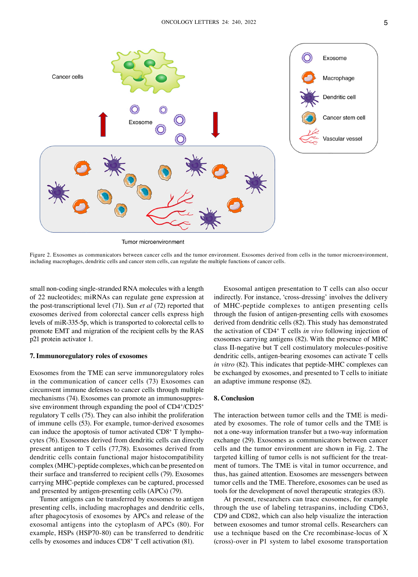

Tumor microenvironment

Figure 2. Exosomes as communicators between cancer cells and the tumor environment. Exosomes derived from cells in the tumor microenvironment, including macrophages, dendritic cells and cancer stem cells, can regulate the multiple functions of cancer cells.

small non-coding single-stranded RNA molecules with a length of 22 nucleotides; miRNAs can regulate gene expression at the post‑transcriptional level (71). Sun *et al* (72) reported that exosomes derived from colorectal cancer cells express high levels of miR‑335‑5p, which is transported to colorectal cells to promote EMT and migration of the recipient cells by the RAS p21 protein activator 1.

#### **7. Immunoregulatory roles of exosomes**

Exosomes from the TME can serve immunoregulatory roles in the communication of cancer cells (73) Exosomes can circumvent immune defenses to cancer cells through multiple mechanisms (74). Exosomes can promote an immunosuppressive environment through expanding the pool of CD4+/CD25+ regulatory T cells (75). They can also inhibit the proliferation of immune cells (53). For example, tumor-derived exosomes can induce the apoptosis of tumor activated CD8+ T lymphocytes (76). Exosomes derived from dendritic cells can directly present antigen to T cells (77,78). Exosomes derived from dendritic cells contain functional major histocompatibility complex (MHC)‑peptide complexes, which can be presented on their surface and transferred to recipient cells (79). Exosomes carrying MHC‑peptide complexes can be captured, processed and presented by antigen-presenting cells (APCs) (79).

Tumor antigens can be transferred by exosomes to antigen presenting cells, including macrophages and dendritic cells, after phagocytosis of exosomes by APCs and release of the exosomal antigens into the cytoplasm of APCs (80). For example, HSPs (HSP70‑80) can be transferred to dendritic cells by exosomes and induces CD8+ T cell activation (81).

Exosomal antigen presentation to T cells can also occur indirectly. For instance, 'cross-dressing' involves the delivery of MHC‑peptide complexes to antigen presenting cells through the fusion of antigen-presenting cells with exosomes derived from dendritic cells (82). This study has demonstrated the activation of CD4+ T cells *in vivo* following injection of exosomes carrying antigens (82). With the presence of MHC class II‑negative but T cell costimulatory molecules‑positive dendritic cells, antigen‑bearing exosomes can activate T cells *in vitro* (82). This indicates that peptide-MHC complexes can be exchanged by exosomes, and presented to T cells to initiate an adaptive immune response (82).

#### **8. Conclusion**

The interaction between tumor cells and the TME is mediated by exosomes. The role of tumor cells and the TME is not a one‑way information transfer but a two‑way information exchange (29). Exosomes as communicators between cancer cells and the tumor environment are shown in Fig. 2. The targeted killing of tumor cells is not sufficient for the treatment of tumors. The TME is vital in tumor occurrence, and thus, has gained attention. Exosomes are messengers between tumor cells and the TME. Therefore, exosomes can be used as tools for the development of novel therapeutic strategies (83).

At present, researchers can trace exosomes, for example through the use of labeling tetraspanins, including CD63, CD9 and CD82, which can also help visualize the interaction between exosomes and tumor stromal cells. Researchers can use a technique based on the Cre recombinase-locus of X (cross)‑over in P1 system to label exosome transportation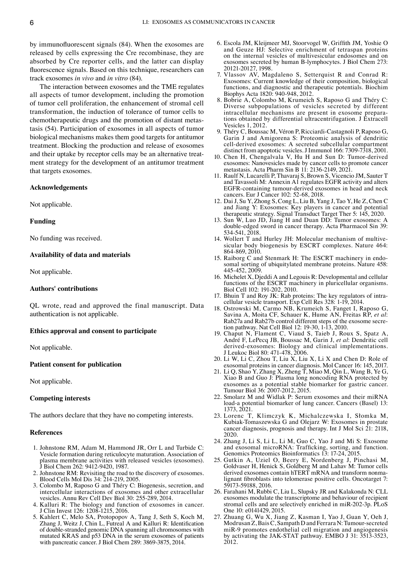by immunofluorescent signals (84). When the exosomes are released by cells expressing the Cre recombinase, they are absorbed by Cre reporter cells, and the latter can display fluorescence signals. Based on this technique, researchers can track exosomes *in vivo* and *in vitro* (84).

The interaction between exosomes and the TME regulates all aspects of tumor development, including the promotion of tumor cell proliferation, the enhancement of stromal cell transformation, the induction of tolerance of tumor cells to chemotherapeutic drugs and the promotion of distant metastasis (54). Participation of exosomes in all aspects of tumor biological mechanisms makes them good targets for antitumor treatment. Blocking the production and release of exosomes and their uptake by receptor cells may be an alternative treatment strategy for the development of an antitumor treatment that targets exosomes.

## **Acknowledgements**

Not applicable.

## **Funding**

No funding was received.

## **Availability of data and materials**

Not applicable.

## **Authors' contributions**

QL wrote, read and approved the final manuscript. Data authentication is not applicable.

#### **Ethics approval and consent to participate**

Not applicable.

#### **Patient consent for publication**

Not applicable.

## **Competing interests**

The authors declare that they have no competing interests.

## **References**

- 1. Johnstone RM, Adam M, Hammond JR, Orr L and Turbide C: Vesicle formation during reticulocyte maturation. Association of plasma membrane activities with released vesicles (exosomes). Biol Chem 262: 9412-9420, 1987.
- 2. Johnstone RM: Revisiting the road to the discovery of exosomes. Blood Cells Mol Dis 34: 214‑219, 2005.
- 3. Colombo M, Raposo G and Théry C: Biogenesis, secretion, and intercellular interactions of exosomes and other extracellular vesicles. Annu Rev Cell Dev Biol 30: 255‑289, 2014.
- 4. Kalluri R: The biology and function of exosomes in cancer. J Clin Invest 126: 1208‑1215, 2016.
- 5. Kahlert C, Melo SA, Protopopov A, Tang J, Seth S, Koch M, Zhang J, Weitz J, Chin L, Futreal A and Kalluri R: Identification of double‑stranded genomic DNA spanning all chromosomes with mutated KRAS and p53 DNA in the serum exosomes of patients with pancreatic cancer. J Biol Chem 289: 3869‑3875, 2014.
- 6. Escola JM, Kleijmeer MJ, Stoorvogel W, Griffith JM, Yoshie O and Geuze HJ: Selective enrichment of tetraspan proteins on the internal vesicles of multivesicular endosomes and on exosomes secreted by human B‑lymphocytes. J Biol Chem 273: 20121‑20127, 1998.
- 7. Vlassov AV, Magdaleno S, Setterquist R and Conrad R: Exosomes: Current knowledge of their composition, biological functions, and diagnostic and therapeutic potentials. Biochim Biophys Acta 1820: 940‑948, 2012.
- 8. Bobrie A, Colombo M, Krumeich S, Raposo G and Théry C: Diverse subpopulations of vesicles secreted by different intracellular mechanisms are present in exosome preparations obtained by differential ultracentrifugation. J Extracell Vesicles 1, 2012.
- 9. Théry C, Boussac M, Véron P, Ricciardi‑Castagnoli P, Raposo G, Garin J and Amigorena S: Proteomic analysis of dendritic cell‑derived exosomes: A secreted subcellular compartment distinct from apoptotic vesicles. JImmunol 166: 7309‑7318, 2001.
- 10. Chen H, Chengalvala V, Hu H and Sun D: Tumor‑derived exosomes: Nanovesicles made by cancer cells to promote cancer metastasis. Acta Pharm Sin B 11: 2136‑2149, 2021.
- 11. Raulf N, Lucarelli P, Thavaraj S, Brown S, Vicencio JM, Sauter T and Tavassoli M: Annexin A1 regulates EGFR activity and alters EGFR‑containing tumour‑derived exosomes in head and neck cancers. Eur J Cancer 102: 52‑68, 2018.
- 12. Dai J, Su Y, Zhong S, Cong L, Liu B, Yang J, Tao Y, He Z, Chen C and Jiang Y: Exosomes: Key players in cancer and potential therapeutic strategy. Signal Transduct Target Ther 5: 145, 2020.
- 13. Sun W, Luo JD, Jiang H and Duan DD: Tumor exosomes: A double-edged sword in cancer therapy. Acta Pharmacol Sin 39: 534‑541, 2018.
- 14. Wollert T and Hurley JH: Molecular mechanism of multivesicular body biogenesis by ESCRT complexes. Nature 464: 864‑869, 2010.
- 15. Raiborg C and Stenmark H: The ESCRT machinery in endosomal sorting of ubiquitylated membrane proteins. Nature 458: 445‑452, 2009.
- 16. Michelet X, Djeddi A and Legouis R: Developmental and cellular functions of the ESCRT machinery in pluricellular organisms. Biol Cell 102: 191‑202, 2010.
- 17. Bhuin T and Roy JK: Rab proteins: The key regulators of intracellular vesicle transport. Exp Cell Res 328: 1‑19, 2014.
- 18. Ostrowski M, Carmo NB, Krumeich S, Fanget I, Raposo G, Savina A, Moita CF, Schauer K, Hume AN, Freitas RP, *et al*: Rab27a and Rab27b control different steps of the exosome secre‑ tion pathway. Nat Cell Biol 12: 19‑30, 1‑13, 2010.
- 19. Chaput N, Flament C, Viaud S, Taieb J, Roux S, Spatz A, André F, LePecq JB, Boussac M, Garin J, *et al*: Dendritic cell derived‑exosomes: Biology and clinical implementations. J Leukoc Biol 80: 471‑478, 2006.
- 20. Li W, Li C, Zhou T, Liu X, Liu X, Li X and Chen D: Role of exosomal proteins in cancer diagnosis. Mol Cancer 16: 145, 2017.
- 21. Li Q, Shao Y, Zhang X, Zheng T, Miao M, Qin L, Wang B, Ye G, Xiao B and Guo J: Plasma long noncoding RNA protected by exosomes as a potential stable biomarker for gastric cancer. Tumour Biol 36: 2007‑2012, 2015.
- 22. Smolarz M and Widlak P: Serum exosomes and their miRNA load-a potential biomarker of lung cancer. Cancers (Basel) 13: 1373, 2021.
- 23. Lorenc T, Klimczyk K, Michalczewska I, Słomka M, Kubiak‑Tomaszewska G and Olejarz W: Exosomes in prostate cancer diagnosis, prognosis and therapy. Int J Mol Sci 21: 2118, 2020.
- 24. Zhang J, Li S, Li L, Li M, Guo C, Yao J and Mi S: Exosome and exosomal microRNA: Trafficking, sorting, and function. Genomics Proteomics Bioinformatics 13: 17‑24, 2015.
- 25. Gutkin A, Uziel O, Beery E, Nordenberg J, Pinchasi M, Goldvaser H, Henick S, Goldberg M and Lahav M: Tumor cells derived exosomes contain hTERT mRNA and transform nonmalignant fibroblasts into telomerase positive cells. Oncotarget 7: 59173‑59188, 2016.
- 26. Farahani M, Rubbi C, Liu L, Slupsky JR and Kalakonda N: CLL exosomes modulate the transcriptome and behaviour of recipient stromal cells and are selectively enriched in miR‑202‑3p. PLoS One 10: e0141429, 2015.
- 27. Zhuang G, Wu X, Jiang Z, Kasman I, Yao J, Guan Y, Oeh J, Modrusan Z, BaisC, Sampath D and Ferrara N: Tumour‑secreted miR-9 promotes endothelial cell migration and angiogenesis by activating the JAK‑STAT pathway. EMBO J 31: 3513‑3523, 2012.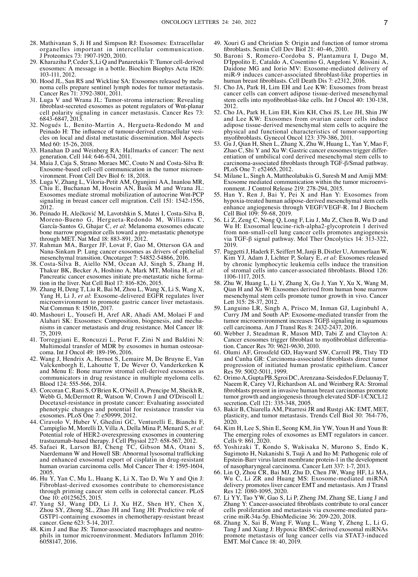- 28. Mathivanan S, Ji H and Simpson RJ: Exosomes: Extracellular organelles important in intercellular communication. J Proteomics 73: 1907‑1920, 2010.
- 29. Kharaziha P, Ceder S, Li Q and Panaretakis T: Tumor cell-derived exosomes: A message in a bottle. Biochim Biophys Acta 1826:
- 103-111, 2012.<br>30. Hood JL, San RS and Wickline SA: Exosomes released by melanoma cells prepare sentinel lymph nodes for tumor metastasis. Cancer Res 71: 3792‑3801, 2011.
- 31. Luga V and Wrana JL: Tumor‑stroma interaction: Revealing fibroblast-secreted exosomes as potent regulators of Wnt-planar cell polarity signaling in cancer metastasis. Cancer Res 73: 6843‑6847, 2013.
- 32. Nogués L, Benito-Martin A, Hergueta-Redondo M and Peinado H: The influence of tumour-derived extracellular vesicles on local and distal metastatic dissemination. Mol Aspects Med 60: 15‑26, 2018.
- 33. Hanahan D and Weinberg RA: Hallmarks of cancer: The next generation. Cell 144: 646‑674, 2011.
- 34. Maia J, Caja S, Strano Moraes MC, Couto N and Costa‑Silva B: Exosome-based cell-cell communication in the tumor microenvironment. Front Cell Dev Biol 6: 18, 2018.
- 35. Luga V, Zhang L, Viloria‑Petit AM, Ogunjimi AA, Inanlou MR, Chiu E, Buchanan M, Hosein AN, Basik M and Wrana JL: Exosomes mediate stromal mobilization of autocrine Wnt‑PCP signaling in breast cancer cell migration. Cell 151: 1542-1556, 2012.
- 36. Peinado H, Alečković M, Lavotshkin S, Matei I, Costa‑Silva B, Moreno‑Bueno G, Hergueta‑Redondo M, Williams C, García‑Santos G, Ghajar C, *et al*: Melanoma exosomes educate bone marrow progenitor cells toward a pro‑metastatic phenotype through MET. Nat Med 18: 883‑891, 2012.
- 37. Rahman MA, Barger JF, Lovat F, Gao M, Otterson GA and Nana‑Sinkam P: Lung cancer exosomes as drivers of epithelial mesenchymal transition. Oncotarget 7: 54852-54866, 2016.
- 38. Costa-Silva B, Aiello NM, Ocean AJ, Singh S, Zhang H, Thakur BK, Becker A, Hoshino A, Mark MT, Molina H, et al: Pancreatic cancer exosomes initiate pre-metastatic niche formation in the liver. Nat Cell Biol 17: 816–826, 2015.
- 39. Zhang H, Deng T, Liu R, Bai M, Zhou L, Wang X, Li S, Wang X, Yang H, Li J, *et al*: Exosome‑delivered EGFR regulates liver microenvironment to promote gastric cancer liver metastasis. Nat Commun 8: 15016, 2017.
- 40. Mashouri L, Yousefi H, Aref AR, Ahadi AM, Molaei F and nisms in cancer metastasis and drug resistance. Mol Cancer 18: 75, 2019.
- 41. Torreggiani E, Roncuzzi L, Perut F, Zini N and Baldini N: Multimodal transfer of MDR by exosomes in human osteosar‑ coma. Int J Oncol 49: 189‑196, 2016.
- 42. Wang J, Hendrix A, Hernot S, Lemaire M, De Bruyne E, Van Valckenborgh E, Lahoutte T, De Wever O, Vanderkerken K and Menu E: Bone marrow stromal cell-derived exosomes as communicators in drug resistance in multiple myeloma cells. Blood 124: 555‑566, 2014.
- 43. Corcoran C, Rani S, O'Brien K, O'Neill A, Prencipe M, Sheikh R, Webb G, McDermott R, Watson W, Crown J and O'Driscoll L: Docetaxel-resistance in prostate cancer: Evaluating associated phenotypic changes and potential for resistance transfer via exosomes. PLoS One 7: e50999, 2012.
- 44. Ciravolo V, Huber V, Ghedini GC, Venturelli E, Bianchi F, Campiglio M, Morelli D, Villa A, Della Mina P, Menard S, et al: Potential role of HER2–overexpressing exosomes in countering trastuzumab-based therapy. J Cell Physiol 227: 658-567, 2012.
- 45. Safaei R, Larson BJ, Cheng TC, Gibson MA, Otani S, Naerdemann W and Howell SB: Abnormal lysosomal trafficking and enhanced exosomal export of cisplatin in drug-resistant human ovarian carcinoma cells. Mol Cancer Ther 4: 1595-1604, 2005.
- 46. Hu Y, Yan C, Mu L, Huang K, Li X, Tao D, Wu Y and Qin J: Fibroblast‑derived exosomes contribute to chemoresistance through priming cancer stem cells in colorectal cancer. PLoS One 10: e0125625, 2015.
- 47. Yang SJ, Wang DD, Li J, Xu HZ, Shen HY, Chen X, Zhou SY, Zhong SL, Zhao JH and Tang JH: Predictive role of GSTP1-containing exosomes in chemotherapy-resistant breast cancer. Gene 623: 5‑14, 2017.
- 48. Kim J and Bae JS: Tumor-associated macrophages and neutrophils in tumor microenvironment. Mediators Inflamm 2016: 6058147, 2016.
- 49. Xouri G and Christian S: Origin and function of tumor stroma fibroblasts. Semin Cell Dev Biol 21: 40‑46, 2010.
- 50. Baroni S, Romero‑Cordoba S, Plantamura I, Dugo M, D'Ippolito E, Cataldo A, Cosentino G, Angeloni V, Rossini A, Daidone MG and Iorio MV: Exosome‑mediated delivery of miR-9 induces cancer-associated fibroblast-like properties in human breast fibroblasts. Cell Death Dis 7: e2312, 2016.
- 51. Cho JA, Park H, Lim EH and Lee KW: Exosomes from breast cancer cells can convert adipose tissue‑derived mesenchymal stem cells into myofibroblast-like cells. Int J Oncol 40: 130-138, 2012.
- 52. Cho JA, Park H, Lim EH, Kim KH, Choi JS, Lee JH, Shin JW and Lee KW: Exosomes from ovarian cancer cells induce adipose tissue‑derived mesenchymal stem cells to acquire the physical and functional characteristics of tumor‑supporting myofibroblasts. Gynecol Oncol 123: 379‑386, 2011.
- 53. Gu J, Qian H, Shen L, Zhang X, Zhu W, Huang L, Yan Y, Mao F, Zhao C, Shi Y and Xu W: Gastric cancer exosomes trigger differentiation of umbilical cord derived mesenchymal stem cells to carcinoma‑associated fibroblasts through TGF‑β/Smad pathway. PLoS One 7: e52465, 2012.
- 54. Milane L, Singh A, Mattheolabakis G, Suresh M and Amiji MM: Exosome mediated communication within the tumor microenvironment. J Control Release 219: 278-294, 2015.
- 55. Han Y, Ren J, Bai Y, Pei X and Han Y: Exosomes from hypoxia‑treated human adipose‑derived mesenchymal stem cells enhance angiogenesis through VEGF/VEGF-R. Int J Biochem Cell Biol 109: 59‑68, 2019.
- 56. Li Z, Zeng C, Nong Q, Long F, Liu J, Mu Z, Chen B, Wu D and Wu H: Exosomal leucine‑rich‑alpha2‑glycoprotein 1 derived from non-small-cell lung cancer cells promotes angiogenesis via TGF‑β signal pathway. Mol Ther Oncolytics 14: 313‑322, 2019.
- 57. PaggettiJ, Haderk F, Seiffert M, Janji B, Distler U, Ammerlaan W, Kim YJ, Adam J, Lichter P, Solary E, *et al*: Exosomes released by chronic lymphocytic leukemia cells induce the transition of stromal cells into cancer‑associated fibroblasts. Blood 126: 1106‑1117, 2015.
- 58. Zhu W, Huang L, Li Y, Zhang X, Gu J, Yan Y, Xu X, Wang M, Qian H and Xu W: Exosomes derived from human bone marrow mesenchymal stem cells promote tumor growth in vivo. Cancer Lett 315: 28‑37, 2012.
- 59. Languino LR, Singh A, Prisco M, Inman GJ, Luginbuhl A, Curry JM and South AP: Exosome‑mediated transfer from the tumor microenvironment increases TGFβ signaling in squamous cell carcinoma. Am J Transl Res 8: 2432‑2437, 2016.
- 60. Webber J, Steadman R, Mason MD, Tabi Z and Clayton A: Cancer exosomes trigger fibroblast to myofibroblast differentia‑ tion. Cancer Res 70: 9621‑9630, 2010.
- 61. Olumi AF, Grossfeld GD, Hayward SW, Carroll PR, Tlsty TD and Cunha GR: Carcinoma‑associated fibroblasts direct tumor progression of initiated human prostatic epithelium. Cancer Res 59: 5002‑5011, 1999.
- 62. OrimoA, GuptaPB, SgroiDC, Arenzana‑SeisdedosF, DelaunayT, Naeem R, Carey VJ, Richardson AL and Weinberg RA: Stromal fibroblasts present in invasive human breast carcinomas promote tumor growth and angiogenesis through elevated SDF-1/CXCL12 secretion. Cell 121: 335‑348, 2005.
- 63. Bakir B, Chiarella AM, Pitarresi JR and Rustgi AK: EMT, MET, plasticity, and tumor metastasis. Trends Cell Biol 30: 764‑776, 2020.
- 64. Kim H, Lee S, Shin E, Seong KM, Jin YW, Youn H and Youn B: The emerging roles of exosomes as EMT regulators in cancer. Cells 9: 861, 2020.
- 65. Yoshizaki T, Kondo S, Wakisaka N, Murono S, Endo K, Sugimoto H, Nakanishi S, Tsuji A and Ito M: Pathogenic role of Epstein‑Barr virus latent membrane protein‑1 in the development of nasopharyngeal carcinoma. Cancer Lett 337: 1‑7, 2013.
- 66. Lin Q, Zhou CR, Bai MJ, Zhu D, Chen JW, Wang HF, Li MA, Wu C, Li ZR and Huang MS: Exosome-mediated miRNA delivery promotes liver cancer EMT and metastasis. Am J Transl Res 12: 1080‑1095, 2020.
- 67. Li YY, Tao YW, Gao S, Li P, Zheng JM, Zhang SE, Liang J and cells proliferation and metastasis via exosome–mediated paracrine miR‑34a‑5p. EbioMedicine 36: 209‑220, 2018.
- 68. Zhang X, Sai B, Wang F, Wang L, Wang Y, Zheng L, Li G, Tang J and Xiang J: Hypoxic BMSC‑derived exosomal miRNAs promote metastasis of lung cancer cells via STAT3‑induced EMT. Mol Cance 18: 40, 2019.